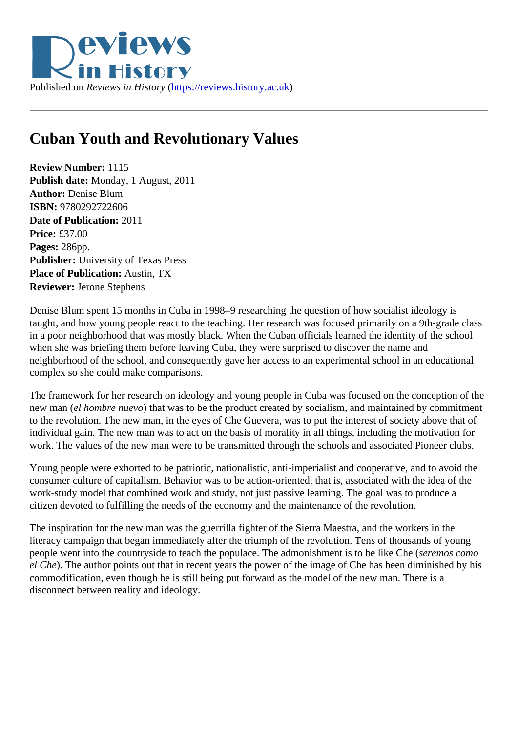## Cuban Youth and Revolutionary Values

Review Number: 1115 Publish date: Monday, 1 August, 2011 Author: Denise Blum ISBN: 9780292722606 Date of Publication: 2011 Price: £37.00 Pages: 286pp. Publisher: University of Texas Press Place of Publication: Austin, TX Reviewer: Jerone Stephens

Denise Blum spent 15 months in Cuba in 1998–9 researching the question of how socialist ideology is taught, and how young people react to the teaching. Her research was focused primarily on a 9th-grade cl in a poor neighborhood that was mostly black. When the Cuban officials learned the identity of the school when she was briefing them before leaving Cuba, they were surprised to discover the name and neighborhood of the school, and consequently gave her access to an experimental school in an education complex so she could make comparisons.

The framework for her research on ideology and young people in Cuba was focused on the conception of new man (el hombre nuev) othat was to be the product created by socialism, and maintained by commitment to the revolution. The new man, in the eyes of Che Guevera, was to put the interest of society above that of individual gain. The new man was to act on the basis of morality in all things, including the motivation for work. The values of the new man were to be transmitted through the schools and associated Pioneer club

Young people were exhorted to be patriotic, nationalistic, anti-imperialist and cooperative, and to avoid the consumer culture of capitalism. Behavior was to be action-oriented, that is, associated with the idea of the work-study model that combined work and study, not just passive learning. The goal was to produce a citizen devoted to fulfilling the needs of the economy and the maintenance of the revolution.

The inspiration for the new man was the guerrilla fighter of the Sierra Maestra, and the workers in the literacy campaign that began immediately after the triumph of the revolution. Tens of thousands of young people went into the countryside to teach the populace. The admonishment is to be like Ches ( como el Che). The author points out that in recent years the power of the image of Che has been diminished by his commodification, even though he is still being put forward as the model of the new man. There is a disconnect between reality and ideology.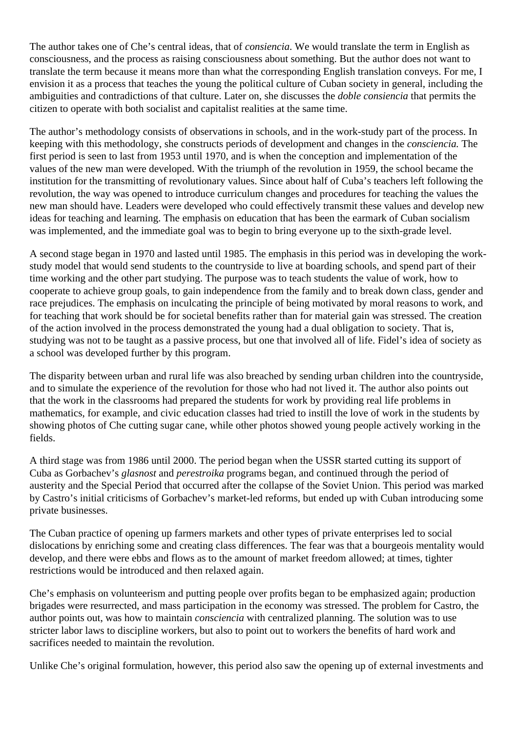The author takes one of Che's central ideas, that of *consiencia*. We would translate the term in English as consciousness, and the process as raising consciousness about something. But the author does not want to translate the term because it means more than what the corresponding English translation conveys. For me, I envision it as a process that teaches the young the political culture of Cuban society in general, including the ambiguities and contradictions of that culture. Later on, she discusses the *doble consiencia* that permits the citizen to operate with both socialist and capitalist realities at the same time.

The author's methodology consists of observations in schools, and in the work-study part of the process. In keeping with this methodology, she constructs periods of development and changes in the *consciencia.* The first period is seen to last from 1953 until 1970, and is when the conception and implementation of the values of the new man were developed. With the triumph of the revolution in 1959, the school became the institution for the transmitting of revolutionary values. Since about half of Cuba's teachers left following the revolution, the way was opened to introduce curriculum changes and procedures for teaching the values the new man should have. Leaders were developed who could effectively transmit these values and develop new ideas for teaching and learning. The emphasis on education that has been the earmark of Cuban socialism was implemented, and the immediate goal was to begin to bring everyone up to the sixth-grade level.

A second stage began in 1970 and lasted until 1985. The emphasis in this period was in developing the workstudy model that would send students to the countryside to live at boarding schools, and spend part of their time working and the other part studying. The purpose was to teach students the value of work, how to cooperate to achieve group goals, to gain independence from the family and to break down class, gender and race prejudices. The emphasis on inculcating the principle of being motivated by moral reasons to work, and for teaching that work should be for societal benefits rather than for material gain was stressed. The creation of the action involved in the process demonstrated the young had a dual obligation to society. That is, studying was not to be taught as a passive process, but one that involved all of life. Fidel's idea of society as a school was developed further by this program.

The disparity between urban and rural life was also breached by sending urban children into the countryside, and to simulate the experience of the revolution for those who had not lived it. The author also points out that the work in the classrooms had prepared the students for work by providing real life problems in mathematics, for example, and civic education classes had tried to instill the love of work in the students by showing photos of Che cutting sugar cane, while other photos showed young people actively working in the fields.

A third stage was from 1986 until 2000. The period began when the USSR started cutting its support of Cuba as Gorbachev's *glasnost* and *perestroika* programs began, and continued through the period of austerity and the Special Period that occurred after the collapse of the Soviet Union. This period was marked by Castro's initial criticisms of Gorbachev's market-led reforms, but ended up with Cuban introducing some private businesses.

The Cuban practice of opening up farmers markets and other types of private enterprises led to social dislocations by enriching some and creating class differences. The fear was that a bourgeois mentality would develop, and there were ebbs and flows as to the amount of market freedom allowed; at times, tighter restrictions would be introduced and then relaxed again.

Che's emphasis on volunteerism and putting people over profits began to be emphasized again; production brigades were resurrected, and mass participation in the economy was stressed. The problem for Castro, the author points out, was how to maintain *consciencia* with centralized planning. The solution was to use stricter labor laws to discipline workers, but also to point out to workers the benefits of hard work and sacrifices needed to maintain the revolution.

Unlike Che's original formulation, however, this period also saw the opening up of external investments and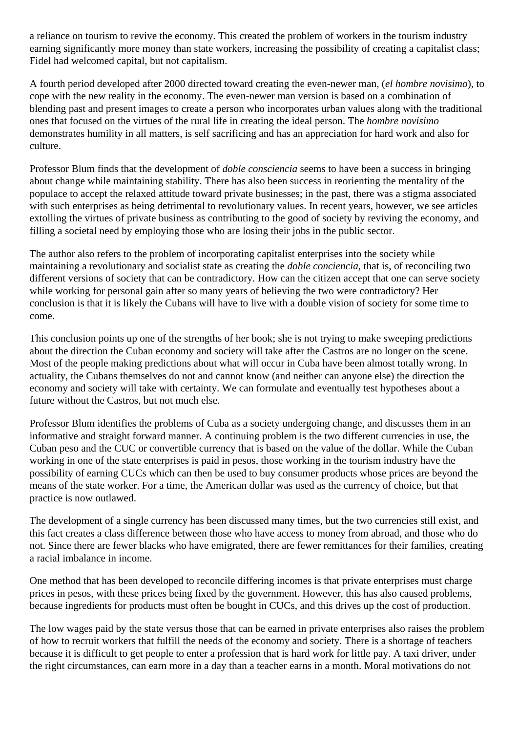a reliance on tourism to revive the economy. This created the problem of workers in the tourism industry earning significantly more money than state workers, increasing the possibility of creating a capitalist class; Fidel had welcomed capital, but not capitalism.

A fourth period developed after 2000 directed toward creating the even-newer man, (*el hombre novisimo*), to cope with the new reality in the economy. The even-newer man version is based on a combination of blending past and present images to create a person who incorporates urban values along with the traditional ones that focused on the virtues of the rural life in creating the ideal person. The *hombre novisimo* demonstrates humility in all matters, is self sacrificing and has an appreciation for hard work and also for culture.

Professor Blum finds that the development of *doble consciencia* seems to have been a success in bringing about change while maintaining stability. There has also been success in reorienting the mentality of the populace to accept the relaxed attitude toward private businesses; in the past, there was a stigma associated with such enterprises as being detrimental to revolutionary values. In recent years, however, we see articles extolling the virtues of private business as contributing to the good of society by reviving the economy, and filling a societal need by employing those who are losing their jobs in the public sector.

The author also refers to the problem of incorporating capitalist enterprises into the society while maintaining a revolutionary and socialist state as creating the *doble conciencia*, that is, of reconciling two different versions of society that can be contradictory. How can the citizen accept that one can serve society while working for personal gain after so many years of believing the two were contradictory? Her conclusion is that it is likely the Cubans will have to live with a double vision of society for some time to come.

This conclusion points up one of the strengths of her book; she is not trying to make sweeping predictions about the direction the Cuban economy and society will take after the Castros are no longer on the scene. Most of the people making predictions about what will occur in Cuba have been almost totally wrong. In actuality, the Cubans themselves do not and cannot know (and neither can anyone else) the direction the economy and society will take with certainty. We can formulate and eventually test hypotheses about a future without the Castros, but not much else.

Professor Blum identifies the problems of Cuba as a society undergoing change, and discusses them in an informative and straight forward manner. A continuing problem is the two different currencies in use, the Cuban peso and the CUC or convertible currency that is based on the value of the dollar. While the Cuban working in one of the state enterprises is paid in pesos, those working in the tourism industry have the possibility of earning CUCs which can then be used to buy consumer products whose prices are beyond the means of the state worker. For a time, the American dollar was used as the currency of choice, but that practice is now outlawed.

The development of a single currency has been discussed many times, but the two currencies still exist, and this fact creates a class difference between those who have access to money from abroad, and those who do not. Since there are fewer blacks who have emigrated, there are fewer remittances for their families, creating a racial imbalance in income.

One method that has been developed to reconcile differing incomes is that private enterprises must charge prices in pesos, with these prices being fixed by the government. However, this has also caused problems, because ingredients for products must often be bought in CUCs, and this drives up the cost of production.

The low wages paid by the state versus those that can be earned in private enterprises also raises the problem of how to recruit workers that fulfill the needs of the economy and society. There is a shortage of teachers because it is difficult to get people to enter a profession that is hard work for little pay. A taxi driver, under the right circumstances, can earn more in a day than a teacher earns in a month. Moral motivations do not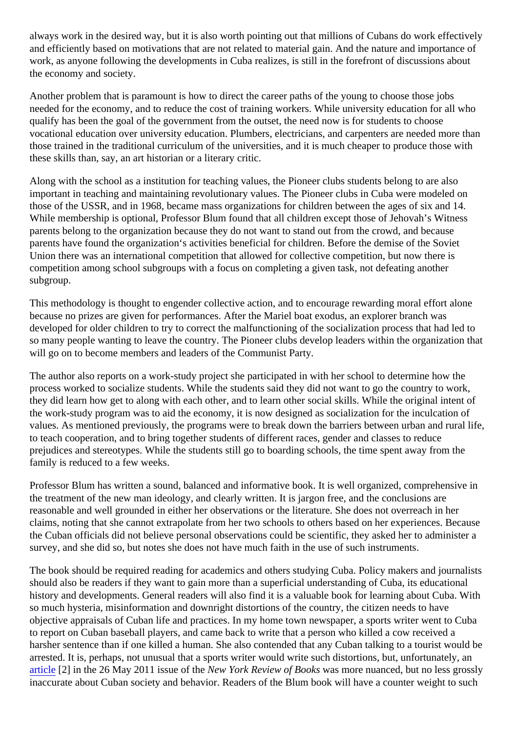always work in the desired way, but it is also worth pointing out that millions of Cubans do work effectively and efficiently based on motivations that are not related to material gain. And the nature and importance of work, as anyone following the developments in Cuba realizes, is still in the forefront of discussions about the economy and society.

Another problem that is paramount is how to direct the career paths of the young to choose those jobs needed for the economy, and to reduce the cost of training workers. While university education for all who qualify has been the goal of the government from the outset, the need now is for students to choose vocational education over university education. Plumbers, electricians, and carpenters are needed more than those trained in the traditional curriculum of the universities, and it is much cheaper to produce those with these skills than, say, an art historian or a literary critic.

Along with the school as a institution for teaching values, the Pioneer clubs students belong to are also important in teaching and maintaining revolutionary values. The Pioneer clubs in Cuba were modeled on those of the USSR, and in 1968, became mass organizations for children between the ages of six and 14. While membership is optional, Professor Blum found that all children except those of Jehovah's Witness parents belong to the organization because they do not want to stand out from the crowd, and because parents have found the organization's activities beneficial for children. Before the demise of the Soviet Union there was an international competition that allowed for collective competition, but now there is competition among school subgroups with a focus on completing a given task, not defeating another subgroup.

This methodology is thought to engender collective action, and to encourage rewarding moral effort alone because no prizes are given for performances. After the Mariel boat exodus, an explorer branch was developed for older children to try to correct the malfunctioning of the socialization process that had led to so many people wanting to leave the country. The Pioneer clubs develop leaders within the organization that will go on to become members and leaders of the Communist Party.

The author also reports on a work-study project she participated in with her school to determine how the process worked to socialize students. While the students said they did not want to go the country to work, they did learn how get to along with each other, and to learn other social skills. While the original intent of the work-study program was to aid the economy, it is now designed as socialization for the inculcation of values. As mentioned previously, the programs were to break down the barriers between urban and rural I to teach cooperation, and to bring together students of different races, gender and classes to reduce prejudices and stereotypes. While the students still go to boarding schools, the time spent away from the family is reduced to a few weeks.

Professor Blum has written a sound, balanced and informative book. It is well organized, comprehensive in the treatment of the new man ideology, and clearly written. It is jargon free, and the conclusions are reasonable and well grounded in either her observations or the literature. She does not overreach in her claims, noting that she cannot extrapolate from her two schools to others based on her experiences. Beca the Cuban officials did not believe personal observations could be scientific, they asked her to administer a survey, and she did so, but notes she does not have much faith in the use of such instruments.

The book should be required reading for academics and others studying Cuba. Policy makers and journali should also be readers if they want to gain more than a superficial understanding of Cuba, its educational history and developments. General readers will also find it is a valuable book for learning about Cuba. With so much hysteria, misinformation and downright distortions of the country, the citizen needs to have objective appraisals of Cuban life and practices. In my home town newspaper, a sports writer went to Cub to report on Cuban baseball players, and came back to write that a person who killed a cow received a harsher sentence than if one killed a human. She also contended that any Cuban talking to a tourist would arrested. It is, perhaps, not unusual that a sports writer would write such distortions, but, unfortunately, an [article](http://www.nybooks.com/articles/archives/2011/may/26/havana-state-retreats/)<sup>[2]</sup> in the 26 May 2011 issue of the W York Review of books was more nuanced, but no less grossly inaccurate about Cuban society and behavior. Readers of the Blum book will have a counter weight to suc